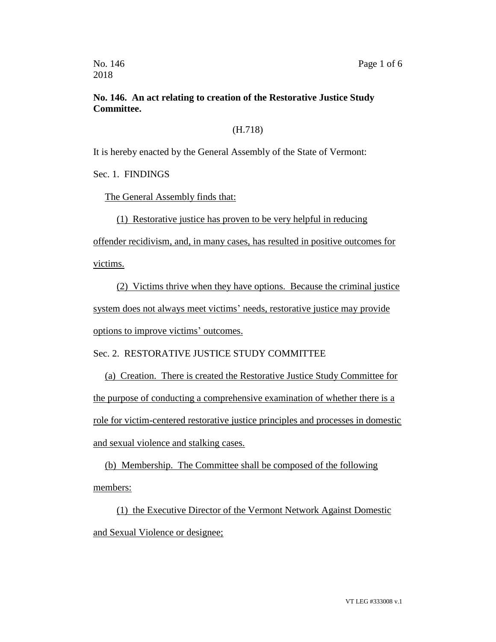## **No. 146. An act relating to creation of the Restorative Justice Study Committee.**

## (H.718)

It is hereby enacted by the General Assembly of the State of Vermont:

Sec. 1. FINDINGS

The General Assembly finds that:

(1) Restorative justice has proven to be very helpful in reducing

offender recidivism, and, in many cases, has resulted in positive outcomes for victims.

(2) Victims thrive when they have options. Because the criminal justice system does not always meet victims' needs, restorative justice may provide options to improve victims' outcomes.

Sec. 2. RESTORATIVE JUSTICE STUDY COMMITTEE

(a) Creation. There is created the Restorative Justice Study Committee for the purpose of conducting a comprehensive examination of whether there is a role for victim-centered restorative justice principles and processes in domestic and sexual violence and stalking cases.

(b) Membership. The Committee shall be composed of the following members:

(1) the Executive Director of the Vermont Network Against Domestic and Sexual Violence or designee;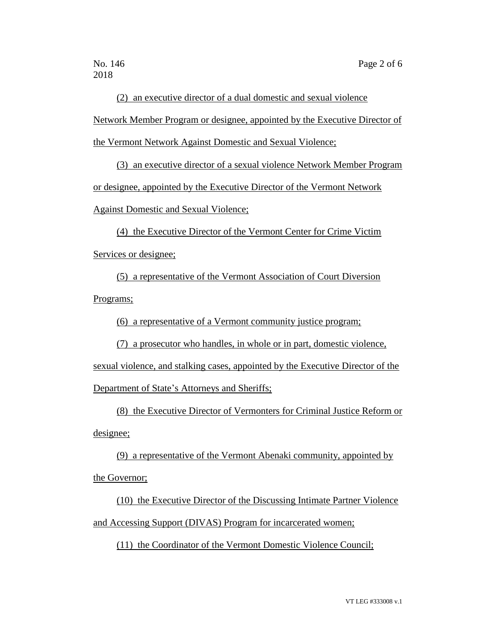(2) an executive director of a dual domestic and sexual violence

Network Member Program or designee, appointed by the Executive Director of

the Vermont Network Against Domestic and Sexual Violence;

(3) an executive director of a sexual violence Network Member Program or designee, appointed by the Executive Director of the Vermont Network Against Domestic and Sexual Violence;

(4) the Executive Director of the Vermont Center for Crime Victim Services or designee;

(5) a representative of the Vermont Association of Court Diversion Programs;

(6) a representative of a Vermont community justice program;

(7) a prosecutor who handles, in whole or in part, domestic violence,

sexual violence, and stalking cases, appointed by the Executive Director of the

Department of State's Attorneys and Sheriffs;

(8) the Executive Director of Vermonters for Criminal Justice Reform or designee;

(9) a representative of the Vermont Abenaki community, appointed by the Governor;

(10) the Executive Director of the Discussing Intimate Partner Violence and Accessing Support (DIVAS) Program for incarcerated women;

(11) the Coordinator of the Vermont Domestic Violence Council;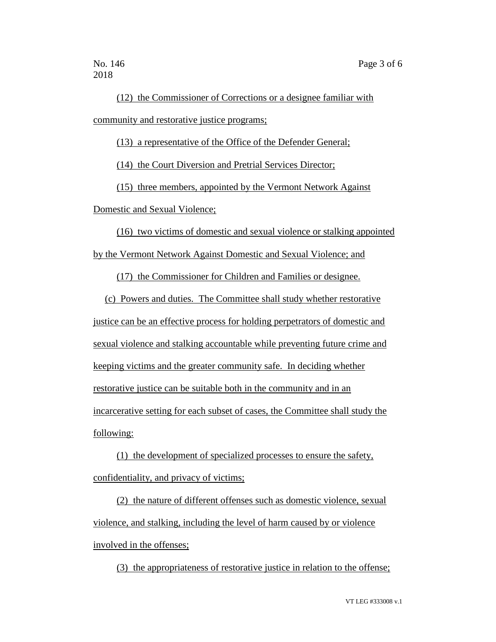(12) the Commissioner of Corrections or a designee familiar with community and restorative justice programs;

(13) a representative of the Office of the Defender General;

(14) the Court Diversion and Pretrial Services Director;

(15) three members, appointed by the Vermont Network Against

Domestic and Sexual Violence;

(16) two victims of domestic and sexual violence or stalking appointed by the Vermont Network Against Domestic and Sexual Violence; and

(17) the Commissioner for Children and Families or designee.

(c) Powers and duties. The Committee shall study whether restorative justice can be an effective process for holding perpetrators of domestic and sexual violence and stalking accountable while preventing future crime and keeping victims and the greater community safe. In deciding whether restorative justice can be suitable both in the community and in an incarcerative setting for each subset of cases, the Committee shall study the following:

(1) the development of specialized processes to ensure the safety, confidentiality, and privacy of victims;

(2) the nature of different offenses such as domestic violence, sexual violence, and stalking, including the level of harm caused by or violence involved in the offenses;

(3) the appropriateness of restorative justice in relation to the offense;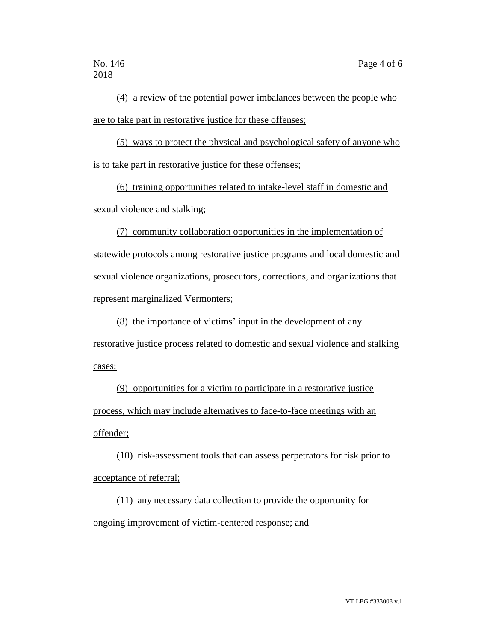(4) a review of the potential power imbalances between the people who are to take part in restorative justice for these offenses;

(5) ways to protect the physical and psychological safety of anyone who is to take part in restorative justice for these offenses;

(6) training opportunities related to intake-level staff in domestic and sexual violence and stalking;

(7) community collaboration opportunities in the implementation of statewide protocols among restorative justice programs and local domestic and sexual violence organizations, prosecutors, corrections, and organizations that represent marginalized Vermonters;

(8) the importance of victims' input in the development of any restorative justice process related to domestic and sexual violence and stalking cases;

(9) opportunities for a victim to participate in a restorative justice process, which may include alternatives to face-to-face meetings with an offender;

(10) risk-assessment tools that can assess perpetrators for risk prior to acceptance of referral;

(11) any necessary data collection to provide the opportunity for ongoing improvement of victim-centered response; and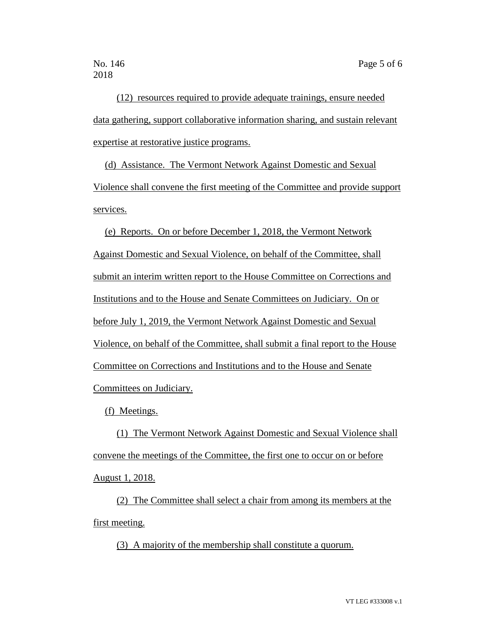(12) resources required to provide adequate trainings, ensure needed data gathering, support collaborative information sharing, and sustain relevant expertise at restorative justice programs.

(d) Assistance. The Vermont Network Against Domestic and Sexual Violence shall convene the first meeting of the Committee and provide support services.

(e) Reports. On or before December 1, 2018, the Vermont Network Against Domestic and Sexual Violence, on behalf of the Committee, shall submit an interim written report to the House Committee on Corrections and Institutions and to the House and Senate Committees on Judiciary. On or before July 1, 2019, the Vermont Network Against Domestic and Sexual Violence, on behalf of the Committee, shall submit a final report to the House Committee on Corrections and Institutions and to the House and Senate Committees on Judiciary.

(f) Meetings.

(1) The Vermont Network Against Domestic and Sexual Violence shall convene the meetings of the Committee, the first one to occur on or before August 1, 2018.

(2) The Committee shall select a chair from among its members at the first meeting.

(3) A majority of the membership shall constitute a quorum.